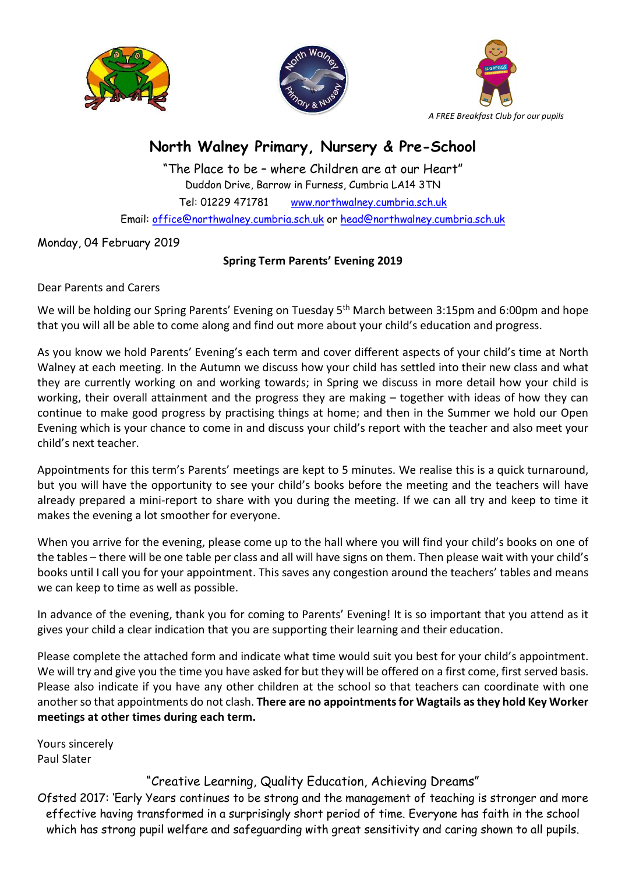





## North Walney Primary, Nursery & Pre-School

"The Place to be – where Children are at our Heart" Duddon Drive, Barrow in Furness, Cumbria LA14 3TN Tel: 01229 471781 www.northwalney.cumbria.sch.uk Email: office@northwalney.cumbria.sch.uk or head@northwalney.cumbria.sch.uk

Monday, 04 February 2019

## Spring Term Parents' Evening 2019

Dear Parents and Carers

We will be holding our Spring Parents' Evening on Tuesday 5<sup>th</sup> March between 3:15pm and 6:00pm and hope that you will all be able to come along and find out more about your child's education and progress.

As you know we hold Parents' Evening's each term and cover different aspects of your child's time at North Walney at each meeting. In the Autumn we discuss how your child has settled into their new class and what they are currently working on and working towards; in Spring we discuss in more detail how your child is working, their overall attainment and the progress they are making – together with ideas of how they can continue to make good progress by practising things at home; and then in the Summer we hold our Open Evening which is your chance to come in and discuss your child's report with the teacher and also meet your child's next teacher.

Appointments for this term's Parents' meetings are kept to 5 minutes. We realise this is a quick turnaround, but you will have the opportunity to see your child's books before the meeting and the teachers will have already prepared a mini-report to share with you during the meeting. If we can all try and keep to time it makes the evening a lot smoother for everyone.

When you arrive for the evening, please come up to the hall where you will find your child's books on one of the tables – there will be one table per class and all will have signs on them. Then please wait with your child's books until I call you for your appointment. This saves any congestion around the teachers' tables and means we can keep to time as well as possible.

In advance of the evening, thank you for coming to Parents' Evening! It is so important that you attend as it gives your child a clear indication that you are supporting their learning and their education.

Please complete the attached form and indicate what time would suit you best for your child's appointment. We will try and give you the time you have asked for but they will be offered on a first come, first served basis. Please also indicate if you have any other children at the school so that teachers can coordinate with one another so that appointments do not clash. There are no appointments for Wagtails as they hold Key Worker meetings at other times during each term.

Yours sincerely Paul Slater

## "Creative Learning, Quality Education, Achieving Dreams"

Ofsted 2017: 'Early Years continues to be strong and the management of teaching is stronger and more effective having transformed in a surprisingly short period of time. Everyone has faith in the school which has strong pupil welfare and safeguarding with great sensitivity and caring shown to all pupils.